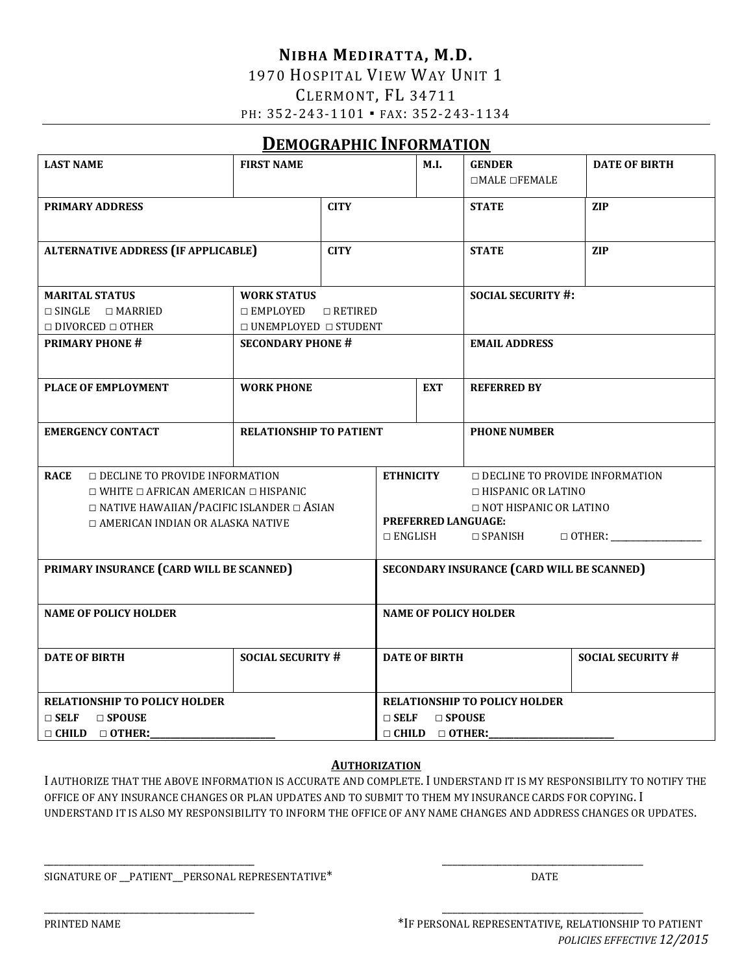### **NIBHA MEDIRATTA, M.D.** 1970 HOSPITAL VIEW WAY UNIT 1 CLERMONT, FL 34711 PH: 352-243-1101 • FAX: 352-243-1134

# **DEMOGRAPHIC INFORMATION**

| <b>LAST NAME</b>                                     | <b>FIRST NAME</b>                |                                                           | M.I.                                              | <b>GENDER</b>             | <b>DATE OF BIRTH</b>     |
|------------------------------------------------------|----------------------------------|-----------------------------------------------------------|---------------------------------------------------|---------------------------|--------------------------|
|                                                      |                                  |                                                           |                                                   | $\Box$ MALE $\Box$ FEMALE |                          |
| <b>PRIMARY ADDRESS</b>                               |                                  | <b>CITY</b>                                               |                                                   | <b>STATE</b>              | <b>ZIP</b>               |
|                                                      |                                  |                                                           |                                                   |                           |                          |
| <b>ALTERNATIVE ADDRESS (IF APPLICABLE)</b>           |                                  | <b>CITY</b>                                               |                                                   | <b>STATE</b>              | <b>ZIP</b>               |
|                                                      |                                  |                                                           |                                                   |                           |                          |
| <b>MARITAL STATUS</b><br><b>WORK STATUS</b>          |                                  |                                                           |                                                   | <b>SOCIAL SECURITY #:</b> |                          |
| $\Box$ SINGLE $\Box$ MARRIED                         | $\Box$ EMPLOYED $\Box$ RETIRED   |                                                           |                                                   |                           |                          |
| $\Box$ DIVORCED $\Box$ OTHER                         | $\Box$ UNEMPLOYED $\Box$ STUDENT |                                                           |                                                   |                           |                          |
| <b>PRIMARY PHONE #</b>                               | <b>SECONDARY PHONE #</b>         |                                                           |                                                   | <b>EMAIL ADDRESS</b>      |                          |
|                                                      |                                  |                                                           |                                                   |                           |                          |
| PLACE OF EMPLOYMENT                                  | <b>WORK PHONE</b>                |                                                           | <b>EXT</b>                                        | <b>REFERRED BY</b>        |                          |
|                                                      |                                  |                                                           |                                                   |                           |                          |
|                                                      |                                  |                                                           |                                                   |                           |                          |
| <b>EMERGENCY CONTACT</b>                             | <b>RELATIONSHIP TO PATIENT</b>   |                                                           | <b>PHONE NUMBER</b>                               |                           |                          |
|                                                      |                                  |                                                           |                                                   |                           |                          |
| <b>RACE</b><br>$\Box$ DECLINE TO PROVIDE INFORMATION |                                  | <b>ETHNICITY</b><br><b>DECLINE TO PROVIDE INFORMATION</b> |                                                   |                           |                          |
| $\Box$ WHITE $\Box$ AFRICAN AMERICAN $\Box$ HISPANIC |                                  |                                                           | $\Box$ HISPANIC OR LATINO                         |                           |                          |
| $\Box$ NATIVE HAWAIIAN/PACIFIC ISLANDER $\Box$ ASIAN |                                  |                                                           | $\Box$ NOT HISPANIC OR LATINO                     |                           |                          |
| <b>ID AMERICAN INDIAN OR ALASKA NATIVE</b>           |                                  |                                                           | PREFERRED LANGUAGE:                               |                           |                          |
|                                                      |                                  |                                                           | $\Box$ ENGLISH                                    |                           |                          |
| PRIMARY INSURANCE (CARD WILL BE SCANNED)             |                                  |                                                           | <b>SECONDARY INSURANCE (CARD WILL BE SCANNED)</b> |                           |                          |
|                                                      |                                  |                                                           |                                                   |                           |                          |
|                                                      |                                  |                                                           |                                                   |                           |                          |
| <b>NAME OF POLICY HOLDER</b>                         |                                  |                                                           | <b>NAME OF POLICY HOLDER</b>                      |                           |                          |
|                                                      |                                  |                                                           |                                                   |                           |                          |
| <b>SOCIAL SECURITY #</b><br><b>DATE OF BIRTH</b>     |                                  |                                                           | <b>DATE OF BIRTH</b>                              |                           | <b>SOCIAL SECURITY #</b> |
|                                                      |                                  |                                                           |                                                   |                           |                          |
| <b>RELATIONSHIP TO POLICY HOLDER</b>                 |                                  |                                                           | <b>RELATIONSHIP TO POLICY HOLDER</b>              |                           |                          |
| $\Box$ SELF $\Box$ SPOUSE                            |                                  |                                                           | $\Box$ SELF $\Box$ SPOUSE                         |                           |                          |
| $\Box$ CHILD $\Box$ OTHER:                           |                                  |                                                           | $\Box$ CHILD $\Box$ OTHER:                        |                           |                          |

#### **AUTHORIZATION**

I AUTHORIZE THAT THE ABOVE INFORMATION IS ACCURATE AND COMPLETE. I UNDERSTAND IT IS MY RESPONSIBILITY TO NOTIFY THE OFFICE OF ANY INSURANCE CHANGES OR PLAN UPDATES AND TO SUBMIT TO THEM MY INSURANCE CARDS FOR COPYING. I UNDERSTAND IT IS ALSO MY RESPONSIBILITY TO INFORM THE OFFICE OF ANY NAME CHANGES AND ADDRESS CHANGES OR UPDATES.

\_\_\_\_\_\_\_\_\_\_\_\_\_\_\_\_\_\_\_\_\_\_\_\_\_\_\_\_\_\_\_\_\_\_\_\_\_\_\_\_\_\_ \_\_\_\_\_\_\_\_\_\_\_\_\_\_\_\_\_\_\_\_\_\_\_\_\_\_\_\_\_\_\_\_\_\_\_\_\_\_\_\_

\_\_\_\_\_\_\_\_\_\_\_\_\_\_\_\_\_\_\_\_\_\_\_\_\_\_\_\_\_\_\_\_\_\_\_\_\_\_\_\_\_\_ \_\_\_\_\_\_\_\_\_\_\_\_\_\_\_\_\_\_\_\_\_\_\_\_\_\_\_\_\_\_\_\_\_\_\_\_\_\_\_\_

SIGNATURE OF \_\_PATIENT\_\_PERSONAL REPRESENTATIVE\* DATE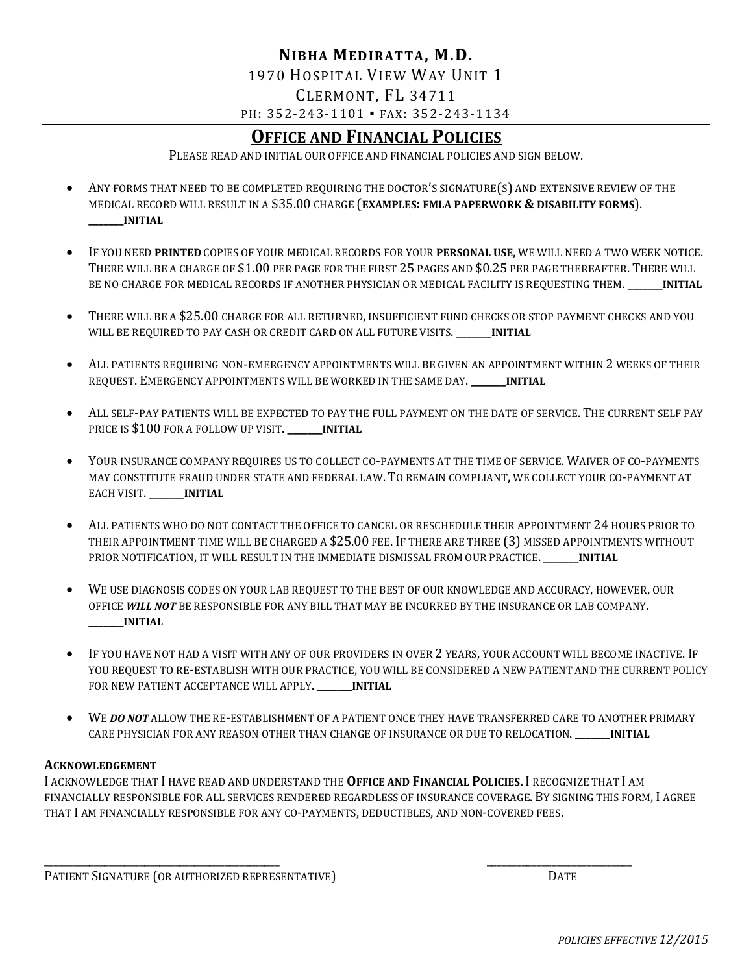### **NIBHA MEDIRATTA, M.D.** 1970 HOSPITAL VIEW WAY UNIT 1 CLERMONT, FL 34711 PH: 352-243-1101 • FAX: 352-243-1134

# **OFFICE AND FINANCIAL POLICIES**

PLEASE READ AND INITIAL OUR OFFICE AND FINANCIAL POLICIES AND SIGN BELOW.

- ANY FORMS THAT NEED TO BE COMPLETED REQUIRING THE DOCTOR'S SIGNATURE(S) AND EXTENSIVE REVIEW OF THE MEDICAL RECORD WILL RESULT IN A \$35.00 CHARGE (**EXAMPLES: FMLA PAPERWORK & DISABILITY FORMS**). **\_\_\_\_\_\_\_INITIAL**
- IF YOU NEED **PRINTED** COPIES OF YOUR MEDICAL RECORDS FOR YOUR **PERSONAL USE**, WE WILL NEED A TWO WEEK NOTICE. THERE WILL BE A CHARGE OF \$1.00 PER PAGE FOR THE FIRST 25 PAGES AND \$0.25 PER PAGE THEREAFTER. THERE WILL BE NO CHARGE FOR MEDICAL RECORDS IF ANOTHER PHYSICIAN OR MEDICAL FACILITY IS REQUESTING THEM. **\_\_\_\_\_\_\_INITIAL**
- THERE WILL BE A \$25.00 CHARGE FOR ALL RETURNED, INSUFFICIENT FUND CHECKS OR STOP PAYMENT CHECKS AND YOU WILL BE REQUIRED TO PAY CASH OR CREDIT CARD ON ALL FUTURE VISITS. **\_\_\_\_\_\_\_INITIAL**
- ALL PATIENTS REQUIRING NON-EMERGENCY APPOINTMENTS WILL BE GIVEN AN APPOINTMENT WITHIN 2 WEEKS OF THEIR REQUEST. EMERGENCY APPOINTMENTS WILL BE WORKED IN THE SAME DAY.**\_\_\_\_\_\_\_INITIAL**
- ALL SELF-PAY PATIENTS WILL BE EXPECTED TO PAY THE FULL PAYMENT ON THE DATE OF SERVICE. THE CURRENT SELF PAY PRICE IS \$100 FOR A FOLLOW UP VISIT. **\_\_\_\_\_\_\_INITIAL**
- YOUR INSURANCE COMPANY REQUIRES US TO COLLECT CO-PAYMENTS AT THE TIME OF SERVICE. WAIVER OF CO-PAYMENTS MAY CONSTITUTE FRAUD UNDER STATE AND FEDERAL LAW. TO REMAIN COMPLIANT, WE COLLECT YOUR CO-PAYMENT AT EACH VISIT. **\_\_\_\_\_\_\_INITIAL**
- ALL PATIENTS WHO DO NOT CONTACT THE OFFICE TO CANCEL OR RESCHEDULE THEIR APPOINTMENT 24 HOURS PRIOR TO THEIR APPOINTMENT TIME WILL BE CHARGED A \$25.00 FEE. IF THERE ARE THREE (3) MISSED APPOINTMENTS WITHOUT PRIOR NOTIFICATION, IT WILL RESULT IN THE IMMEDIATE DISMISSAL FROM OUR PRACTICE. **\_\_\_\_\_\_\_INITIAL**
- WE USE DIAGNOSIS CODES ON YOUR LAB REQUEST TO THE BEST OF OUR KNOWLEDGE AND ACCURACY, HOWEVER, OUR OFFICE *WILL NOT* BE RESPONSIBLE FOR ANY BILL THAT MAY BE INCURRED BY THE INSURANCE OR LAB COMPANY. **\_\_\_\_\_\_\_INITIAL**
- IF YOU HAVE NOT HAD A VISIT WITH ANY OF OUR PROVIDERS IN OVER 2 YEARS, YOUR ACCOUNT WILL BECOME INACTIVE. IF YOU REQUEST TO RE-ESTABLISH WITH OUR PRACTICE, YOU WILL BE CONSIDERED A NEW PATIENT AND THE CURRENT POLICY FOR NEW PATIENT ACCEPTANCE WILL APPLY. **\_\_\_\_\_\_\_INITIAL**
- WE **DO NOT** ALLOW THE RE-ESTABLISHMENT OF A PATIENT ONCE THEY HAVE TRANSFERRED CARE TO ANOTHER PRIMARY CARE PHYSICIAN FOR ANY REASON OTHER THAN CHANGE OF INSURANCE OR DUE TO RELOCATION. **\_\_\_\_\_\_\_INITIAL**

#### **ACKNOWLEDGEMENT**

I ACKNOWLEDGE THAT I HAVE READ AND UNDERSTAND THE **OFFICE AND FINANCIAL POLICIES.** I RECOGNIZE THAT I AM FINANCIALLY RESPONSIBLE FOR ALL SERVICES RENDERED REGARDLESS OF INSURANCE COVERAGE. BY SIGNING THIS FORM, I AGREE THAT I AM FINANCIALLY RESPONSIBLE FOR ANY CO-PAYMENTS, DEDUCTIBLES, AND NON-COVERED FEES.

\_\_\_\_\_\_\_\_\_\_\_\_\_\_\_\_\_\_\_\_\_\_\_\_\_\_\_\_\_\_\_\_\_\_\_\_\_\_\_\_\_\_\_\_\_\_\_ \_\_\_\_\_\_\_\_\_\_\_\_\_\_\_\_\_\_\_\_\_\_\_\_\_\_\_\_\_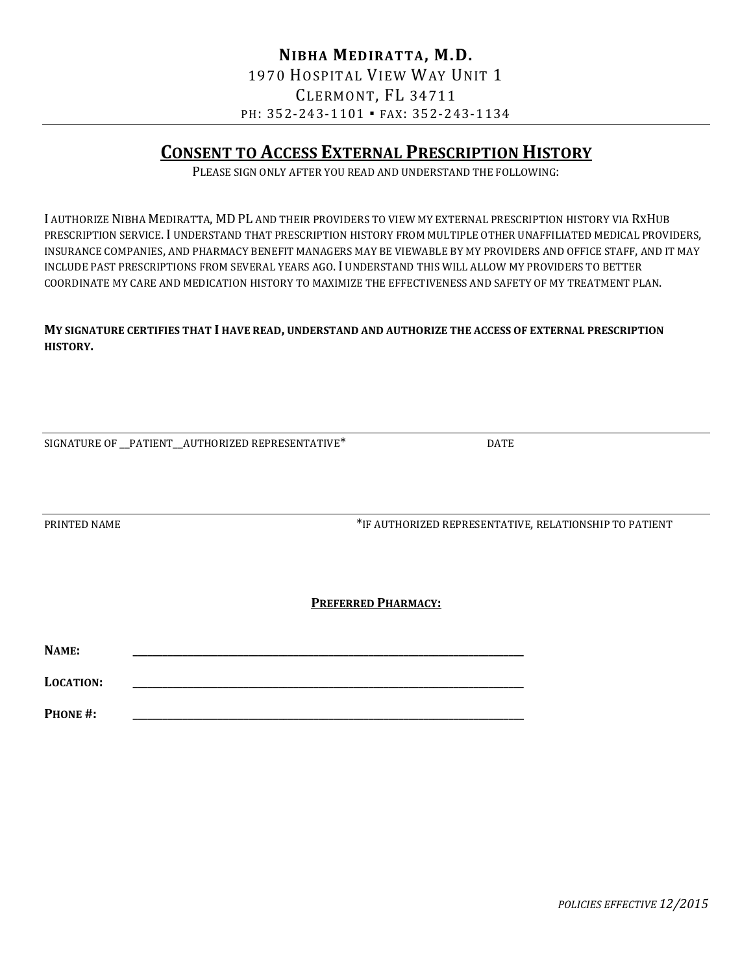# **CONSENT TO ACCESS EXTERNAL PRESCRIPTION HISTORY**

PLEASE SIGN ONLY AFTER YOU READ AND UNDERSTAND THE FOLLOWING:

I AUTHORIZE NIBHA MEDIRATTA, MD PL AND THEIR PROVIDERS TO VIEW MY EXTERNAL PRESCRIPTION HISTORY VIA RXHUB PRESCRIPTION SERVICE. I UNDERSTAND THAT PRESCRIPTION HISTORY FROM MULTIPLE OTHER UNAFFILIATED MEDICAL PROVIDERS, INSURANCE COMPANIES, AND PHARMACY BENEFIT MANAGERS MAY BE VIEWABLE BY MY PROVIDERS AND OFFICE STAFF, AND IT MAY INCLUDE PAST PRESCRIPTIONS FROM SEVERAL YEARS AGO. I UNDERSTAND THIS WILL ALLOW MY PROVIDERS TO BETTER COORDINATE MY CARE AND MEDICATION HISTORY TO MAXIMIZE THE EFFECTIVENESS AND SAFETY OF MY TREATMENT PLAN.

#### **MY SIGNATURE CERTIFIES THAT I HAVE READ, UNDERSTAND AND AUTHORIZE THE ACCESS OF EXTERNAL PRESCRIPTION HISTORY.**

|  | SIGNATURE OF PATIENT AUTHORIZED REPRESENTATIVE* | <b>DATE</b> |
|--|-------------------------------------------------|-------------|
|  |                                                 |             |

PRINTED NAME THE AUTHORIZED REPRESENTATIVE, RELATIONSHIP TO PATIENT

#### **PREFERRED PHARMACY:**

**NAME: \_\_\_\_\_\_\_\_\_\_\_\_\_\_\_\_\_\_\_\_\_\_\_\_\_\_\_\_\_\_\_\_\_\_\_\_\_\_\_\_\_\_\_\_\_\_\_\_\_\_\_\_\_\_\_\_\_\_\_\_\_\_\_\_\_\_\_\_\_\_\_\_\_\_\_\_\_\_ LOCATION: \_\_\_\_\_\_\_\_\_\_\_\_\_\_\_\_\_\_\_\_\_\_\_\_\_\_\_\_\_\_\_\_\_\_\_\_\_\_\_\_\_\_\_\_\_\_\_\_\_\_\_\_\_\_\_\_\_\_\_\_\_\_\_\_\_\_\_\_\_\_\_\_\_\_\_\_\_\_**

**PHONE #: \_\_\_\_\_\_\_\_\_\_\_\_\_\_\_\_\_\_\_\_\_\_\_\_\_\_\_\_\_\_\_\_\_\_\_\_\_\_\_\_\_\_\_\_\_\_\_\_\_\_\_\_\_\_\_\_\_\_\_\_\_\_\_\_\_\_\_\_\_\_\_\_\_\_\_\_\_\_**

*POLICIES EFFECTIVE 12/2015*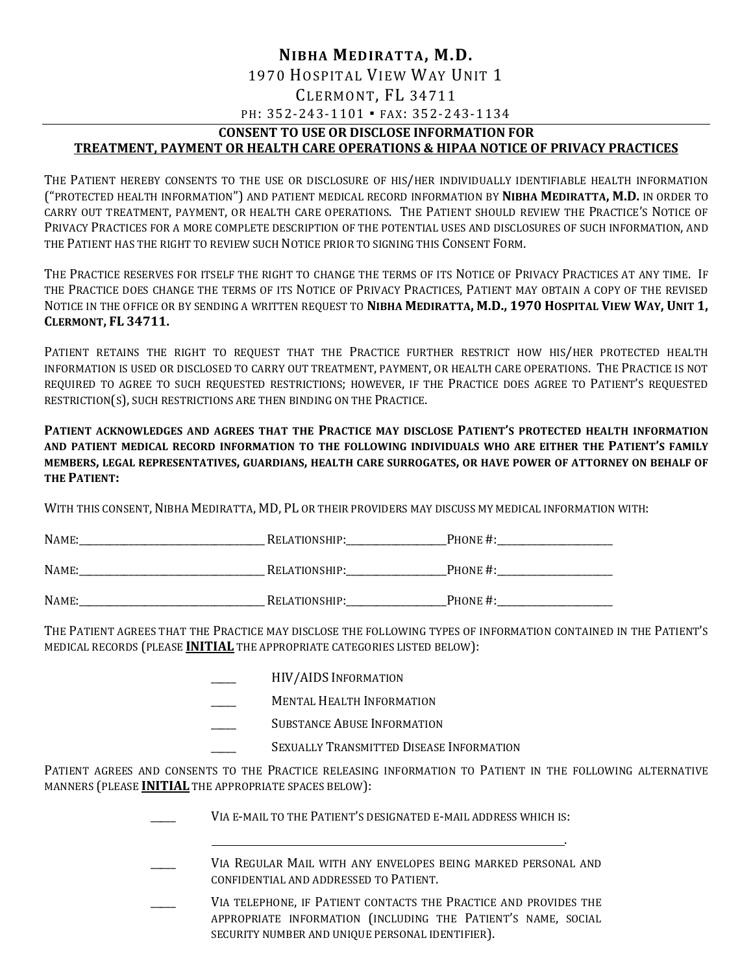### **NIBHA MEDIRATTA, M.D.** 1970 HOSPITAL VIEW WAY UNIT 1 CLERMONT, FL 34711 PH: 352-243-1101 · FAX: 352-243-1134

### **CONSENT TO USE OR DISCLOSE INFORMATION FOR**

### **TREATMENT, PAYMENT OR HEALTH CARE OPERATIONS & HIPAA NOTICE OF PRIVACY PRACTICES**

THE PATIENT HEREBY CONSENTS TO THE USE OR DISCLOSURE OF HIS/HER INDIVIDUALLY IDENTIFIABLE HEALTH INFORMATION ("PROTECTED HEALTH INFORMATION") AND PATIENT MEDICAL RECORD INFORMATION BY **NIBHA MEDIRATTA, M.D.** IN ORDER TO CARRY OUT TREATMENT, PAYMENT, OR HEALTH CARE OPERATIONS. THE PATIENT SHOULD REVIEW THE PRACTICE'S NOTICE OF PRIVACY PRACTICES FOR A MORE COMPLETE DESCRIPTION OF THE POTENTIAL USES AND DISCLOSURES OF SUCH INFORMATION, AND THE PATIENT HAS THE RIGHT TO REVIEW SUCH NOTICE PRIOR TO SIGNING THIS CONSENT FORM.

THE PRACTICE RESERVES FOR ITSELF THE RIGHT TO CHANGE THE TERMS OF ITS NOTICE OF PRIVACY PRACTICES AT ANY TIME. IF THE PRACTICE DOES CHANGE THE TERMS OF ITS NOTICE OF PRIVACY PRACTICES, PATIENT MAY OBTAIN A COPY OF THE REVISED NOTICE IN THE OFFICE OR BY SENDING A WRITTEN REQUEST TO NIBHA MEDIRATTA, M.D., 1970 HOSPITAL VIEW WAY, UNIT 1, **CLERMONT, FL 34711.**

PATIENT RETAINS THE RIGHT TO REQUEST THAT THE PRACTICE FURTHER RESTRICT HOW HIS/HER PROTECTED HEALTH INFORMATION IS USED OR DISCLOSED TO CARRY OUT TREATMENT, PAYMENT, OR HEALTH CARE OPERATIONS. THE PRACTICE IS NOT REQUIRED TO AGREE TO SUCH REQUESTED RESTRICTIONS; HOWEVER, IF THE PRACTICE DOES AGREE TO PATIENT'S REQUESTED RESTRICTION(S), SUCH RESTRICTIONS ARE THEN BINDING ON THE PRACTICE.

**PATIENT ACKNOWLEDGES AND AGREES THAT THE PRACTICE MAY DISCLOSE PATIENT'S PROTECTED HEALTH INFORMATION AND PATIENT MEDICAL RECORD INFORMATION TO THE FOLLOWING INDIVIDUALS WHO ARE EITHER THE PATIENT'S FAMILY MEMBERS, LEGAL REPRESENTATIVES, GUARDIANS, HEALTH CARE SURROGATES, OR HAVE POWER OF ATTORNEY ON BEHALF OF THE PATIENT:**

WITH THIS CONSENT, NIBHA MEDIRATTA, MD, PL OR THEIR PROVIDERS MAY DISCUSS MY MEDICAL INFORMATION WITH:

| NAME: | RELATIONSHIP: | PHONE #: |
|-------|---------------|----------|
| NAME: | RELATIONSHIP: | PHONE#:  |
| NAME: | RELATIONSHIP: | PHONE#:  |

THE PATIENT AGREES THAT THE PRACTICE MAY DISCLOSE THE FOLLOWING TYPES OF INFORMATION CONTAINED IN THE PATIENT'S MEDICAL RECORDS (PLEASE **INITIAL** THE APPROPRIATE CATEGORIES LISTED BELOW):

- \_\_\_\_\_ HIV/AIDS INFORMATION
- MENTAL HEALTH INFORMATION
- SUBSTANCE ABUSE INFORMATION
	- SEXUALLY TRANSMITTED DISEASE INFORMATION

PATIENT AGREES AND CONSENTS TO THE PRACTICE RELEASING INFORMATION TO PATIENT IN THE FOLLOWING ALTERNATIVE MANNERS (PLEASE **INITIAL** THE APPROPRIATE SPACES BELOW):

| VIA E-MAIL TO THE PATIENT'S DESIGNATED E-MAIL ADDRESS WHICH IS:                                                                                                                       |
|---------------------------------------------------------------------------------------------------------------------------------------------------------------------------------------|
|                                                                                                                                                                                       |
| VIA REGULAR MAIL WITH ANY ENVELOPES BEING MARKED PERSONAL AND<br>CONFIDENTIAL AND ADDRESSED TO PATIENT.                                                                               |
| VIA TELEPHONE, IF PATIENT CONTACTS THE PRACTICE AND PROVIDES THE<br>APPROPRIATE INFORMATION (INCLUDING THE PATIENT'S NAME, SOCIAL<br>SECURITY NUMBER AND UNIQUE PERSONAL IDENTIFIER). |